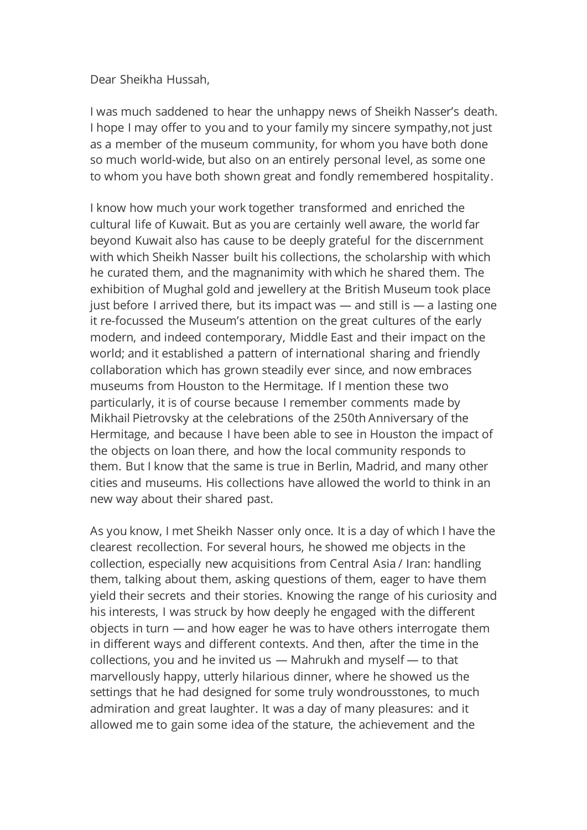Dear Sheikha Hussah,

I was much saddened to hear the unhappy news of Sheikh Nasser's death. I hope I may offer to you and to your family my sincere sympathy,not just as a member of the museum community, for whom you have both done so much world-wide, but also on an entirely personal level, as some one to whom you have both shown great and fondly remembered hospitality.

I know how much your work together transformed and enriched the cultural life of Kuwait. But as you are certainly well aware, the world far beyond Kuwait also has cause to be deeply grateful for the discernment with which Sheikh Nasser built his collections, the scholarship with which he curated them, and the magnanimity with which he shared them. The exhibition of Mughal gold and jewellery at the British Museum took place just before I arrived there, but its impact was  $-$  and still is  $-$  a lasting one it re-focussed the Museum's attention on the great cultures of the early modern, and indeed contemporary, Middle East and their impact on the world; and it established a pattern of international sharing and friendly collaboration which has grown steadily ever since, and now embraces museums from Houston to the Hermitage. If I mention these two particularly, it is of course because I remember comments made by Mikhail Pietrovsky at the celebrations of the 250th Anniversary of the Hermitage, and because I have been able to see in Houston the impact of the objects on loan there, and how the local community responds to them. But I know that the same is true in Berlin, Madrid, and many other cities and museums. His collections have allowed the world to think in an new way about their shared past.

As you know, I met Sheikh Nasser only once. It is a day of which I have the clearest recollection. For several hours, he showed me objects in the collection, especially new acquisitions from Central Asia / Iran: handling them, talking about them, asking questions of them, eager to have them yield their secrets and their stories. Knowing the range of his curiosity and his interests, I was struck by how deeply he engaged with the different objects in turn — and how eager he was to have others interrogate them in different ways and different contexts. And then, after the time in the collections, you and he invited us — Mahrukh and myself — to that marvellously happy, utterly hilarious dinner, where he showed us the settings that he had designed for some truly wondrousstones, to much admiration and great laughter. It was a day of many pleasures: and it allowed me to gain some idea of the stature, the achievement and the